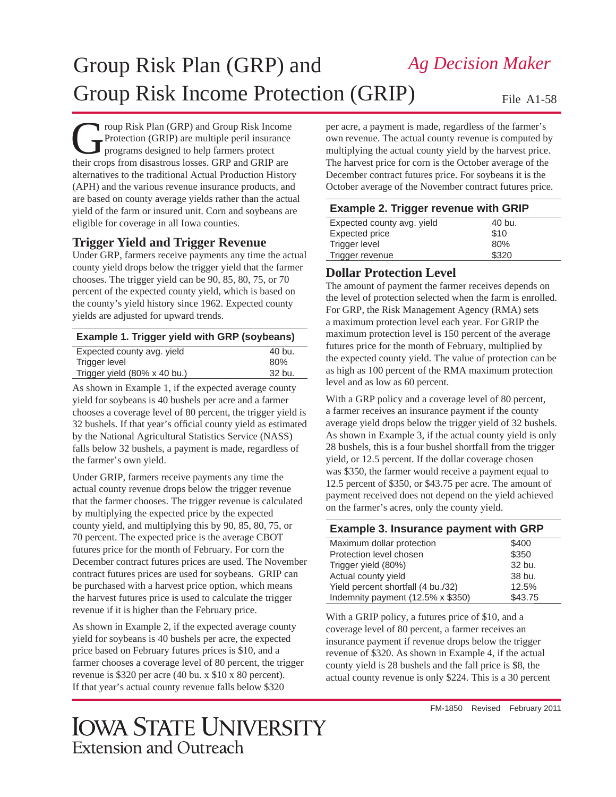# Group Risk Plan (GRP) and Group Risk Income Protection (GRIP) File A1-58 *Ag Decision Maker*

Group Risk Plan (GRP) and Group Risk Income Protection (GRIP) are multiple peril insurance programs designed to help farmers protect their crops from disastrous losses. GRP and GRIP are alternatives to the traditional Actual Production History (APH) and the various revenue insurance products, and are based on county average yields rather than the actual yield of the farm or insured unit. Corn and soybeans are eligible for coverage in all Iowa counties.

## **Trigger Yield and Trigger Revenue**

Under GRP, farmers receive payments any time the actual county yield drops below the trigger yield that the farmer chooses. The trigger yield can be 90, 85, 80, 75, or 70 percent of the expected county yield, which is based on the county's yield history since 1962. Expected county yields are adjusted for upward trends.

| <b>Example 1. Trigger yield with GRP (soybeans)</b> |        |  |
|-----------------------------------------------------|--------|--|
| Expected county avg. yield                          | 40 bu. |  |
| Trigger level                                       | 80%    |  |
| Trigger yield (80% x 40 bu.)                        | 32 bu. |  |
|                                                     |        |  |

As shown in Example 1, if the expected average county yield for soybeans is 40 bushels per acre and a farmer chooses a coverage level of 80 percent, the trigger yield is 32 bushels. If that year's official county yield as estimated by the National Agricultural Statistics Service (NASS) falls below 32 bushels, a payment is made, regardless of the farmer's own yield.

Under GRIP, farmers receive payments any time the actual county revenue drops below the trigger revenue that the farmer chooses. The trigger revenue is calculated by multiplying the expected price by the expected county yield, and multiplying this by 90, 85, 80, 75, or 70 percent. The expected price is the average CBOT futures price for the month of February. For corn the December contract futures prices are used. The November contract futures prices are used for soybeans. GRIP can be purchased with a harvest price option, which means the harvest futures price is used to calculate the trigger revenue if it is higher than the February price.

As shown in Example 2, if the expected average county yield for soybeans is 40 bushels per acre, the expected price based on February futures prices is \$10, and a farmer chooses a coverage level of 80 percent, the trigger revenue is \$320 per acre (40 bu. x \$10 x 80 percent). If that year's actual county revenue falls below \$320

per acre, a payment is made, regardless of the farmer's own revenue. The actual county revenue is computed by multiplying the actual county yield by the harvest price. The harvest price for corn is the October average of the December contract futures price. For soybeans it is the October average of the November contract futures price.

## **Example 2. Trigger revenue with GRIP**

| Expected county avg. yield | 40 bu. |
|----------------------------|--------|
| Expected price             | \$10   |
| Trigger level              | 80%    |
| Trigger revenue            | \$320  |

## **Dollar Protection Level**

The amount of payment the farmer receives depends on the level of protection selected when the farm is enrolled. For GRP, the Risk Management Agency (RMA) sets a maximum protection level each year. For GRIP the maximum protection level is 150 percent of the average futures price for the month of February, multiplied by the expected county yield. The value of protection can be as high as 100 percent of the RMA maximum protection level and as low as 60 percent.

With a GRP policy and a coverage level of 80 percent, a farmer receives an insurance payment if the county average yield drops below the trigger yield of 32 bushels. As shown in Example 3, if the actual county yield is only 28 bushels, this is a four bushel shortfall from the trigger yield, or 12.5 percent. If the dollar coverage chosen was \$350, the farmer would receive a payment equal to 12.5 percent of \$350, or \$43.75 per acre. The amount of payment received does not depend on the yield achieved on the farmer's acres, only the county yield.

#### **Example 3. Insurance payment with GRP** Maximum dollar protection \$400

| <b>Maximum dollar protection</b>         | <b>JANU</b> |  |
|------------------------------------------|-------------|--|
| Protection level chosen                  | \$350       |  |
| Trigger yield (80%)                      | 32 bu.      |  |
| Actual county yield                      | 38 bu.      |  |
| Yield percent shortfall (4 bu./32)       | 12.5%       |  |
| Indemnity payment $(12.5\% \times $350)$ | \$43.75     |  |
|                                          |             |  |

With a GRIP policy, a futures price of \$10, and a coverage level of 80 percent, a farmer receives an insurance payment if revenue drops below the trigger revenue of \$320. As shown in Example 4, if the actual county yield is 28 bushels and the fall price is \$8, the actual county revenue is only \$224. This is a 30 percent